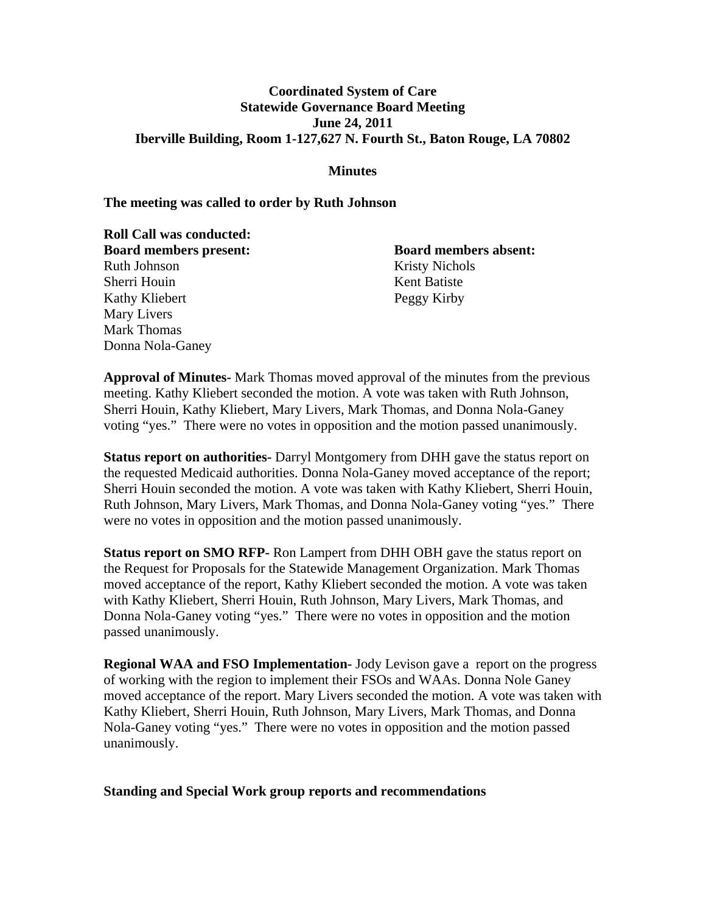# **Coordinated System of Care Statewide Governance Board Meeting June 24, 2011 Iberville Building, Room 1-127,627 N. Fourth St., Baton Rouge, LA 70802**

## **Minutes**

#### **The meeting was called to order by Ruth Johnson**

**Roll Call was conducted: Board members present: Board members absent:** Ruth Johnson Kristy Nichols Sherri Houin Kent Batiste Kathy Kliebert Peggy Kirby Mary Livers Mark Thomas Donna Nola-Ganey

**Approval of Minutes-** Mark Thomas moved approval of the minutes from the previous meeting. Kathy Kliebert seconded the motion. A vote was taken with Ruth Johnson, Sherri Houin, Kathy Kliebert, Mary Livers, Mark Thomas, and Donna Nola-Ganey voting "yes." There were no votes in opposition and the motion passed unanimously.

**Status report on authorities-** Darryl Montgomery from DHH gave the status report on the requested Medicaid authorities. Donna Nola-Ganey moved acceptance of the report; Sherri Houin seconded the motion. A vote was taken with Kathy Kliebert, Sherri Houin, Ruth Johnson, Mary Livers, Mark Thomas, and Donna Nola-Ganey voting "yes." There were no votes in opposition and the motion passed unanimously.

**Status report on SMO RFP-** Ron Lampert from DHH OBH gave the status report on the Request for Proposals for the Statewide Management Organization. Mark Thomas moved acceptance of the report, Kathy Kliebert seconded the motion. A vote was taken with Kathy Kliebert, Sherri Houin, Ruth Johnson, Mary Livers, Mark Thomas, and Donna Nola-Ganey voting "yes." There were no votes in opposition and the motion passed unanimously.

**Regional WAA and FSO Implementation-** Jody Levison gave a report on the progress of working with the region to implement their FSOs and WAAs. Donna Nole Ganey moved acceptance of the report. Mary Livers seconded the motion. A vote was taken with Kathy Kliebert, Sherri Houin, Ruth Johnson, Mary Livers, Mark Thomas, and Donna Nola-Ganey voting "yes." There were no votes in opposition and the motion passed unanimously.

#### **Standing and Special Work group reports and recommendations**